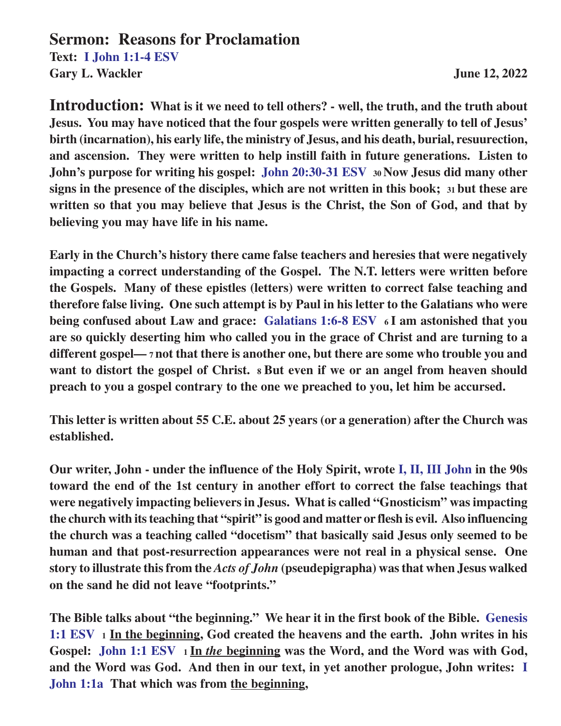## **Sermon: Reasons for Proclamation**

**Text: I John 1:1-4 ESV** Gary L. Wackler June 12, 2022

**Introduction: What is it we need to tell others? - well, the truth, and the truth about Jesus. You may have noticed that the four gospels were written generally to tell of Jesus' birth (incarnation), his early life, the ministry of Jesus, and his death, burial, resuurection, and ascension. They were written to help instill faith in future generations. Listen to John's purpose for writing his gospel: John 20:30-31 ESV 30 Now Jesus did many other signs in the presence of the disciples, which are not written in this book; 31 but these are written so that you may believe that Jesus is the Christ, the Son of God, and that by believing you may have life in his name.**

**Early in the Church's history there came false teachers and heresies that were negatively impacting a correct understanding of the Gospel. The N.T. letters were written before the Gospels. Many of these epistles (letters) were written to correct false teaching and therefore false living. One such attempt is by Paul in his letter to the Galatians who were being confused about Law and grace: Galatians 1:6-8 ESV 6 I am astonished that you are so quickly deserting him who called you in the grace of Christ and are turning to a different gospel— 7 not that there is another one, but there are some who trouble you and want to distort the gospel of Christ. 8 But even if we or an angel from heaven should preach to you a gospel contrary to the one we preached to you, let him be accursed.**

**This letter is written about 55 C.E. about 25 years (or a generation) after the Church was established.**

**Our writer, John - under the influence of the Holy Spirit, wrote I, II, III John in the 90s toward the end of the 1st century in another effort to correct the false teachings that were negatively impacting believers in Jesus. What is called "Gnosticism" was impacting the church with its teaching that "spirit" is good and matter or flesh is evil. Also influencing the church was a teaching called "docetism" that basically said Jesus only seemed to be human and that post-resurrection appearances were not real in a physical sense. One story to illustrate this from the** *Acts of John* **(pseudepigrapha) was that when Jesus walked on the sand he did not leave "footprints."**

**The Bible talks about "the beginning." We hear it in the first book of the Bible. Genesis 1:1 ESV <sup>1</sup> In the beginning, God created the heavens and the earth. John writes in his Gospel: John 1:1 ESV 1 In** *the* **beginning was the Word, and the Word was with God, and the Word was God. And then in our text, in yet another prologue, John writes: I John 1:1a That which was from the beginning,**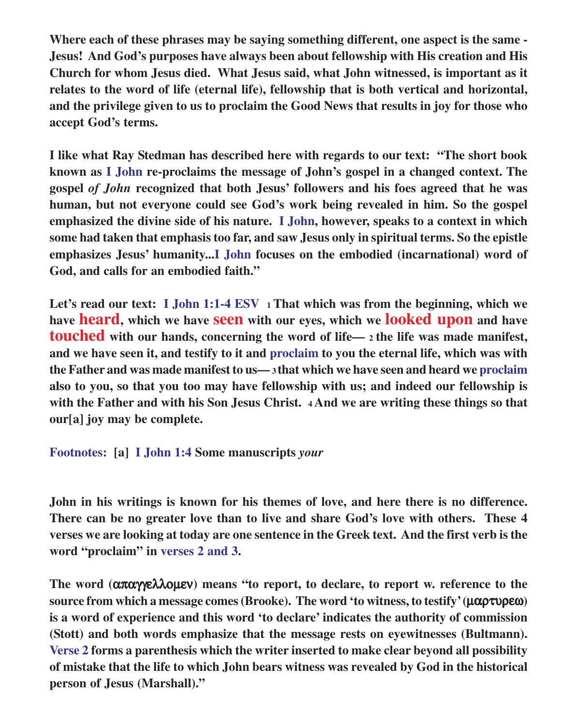**Where each of these phrases may be saying something different, one aspect is the same - Jesus! And God's purposes have always been about fellowship with His creation and His Church for whom Jesus died. What Jesus said, what John witnessed, is important as it relates to the word of life (eternal life), fellowship that is both vertical and horizontal, and the privilege given to us to proclaim the Good News that results in joy for those who accept God's terms.**

**I like what Ray Stedman has described here with regards to our text: "The short book known as I John re-proclaims the message of John's gospel in a changed context. The gospel** *of John* **recognized that both Jesus' followers and his foes agreed that he was human, but not everyone could see God's work being revealed in him. So the gospel emphasized the divine side of his nature. I John, however, speaks to a context in which some had taken that emphasis too far, and saw Jesus only in spiritual terms. So the epistle emphasizes Jesus' humanity...I John focuses on the embodied (incarnational) word of God, and calls for an embodied faith."**

**Let's read our text: I John 1:1-4 ESV 1 That which was from the beginning, which we have heard, which we have seen with our eyes, which we looked upon and have touched with our hands, concerning the word of life— 2 the life was made manifest, and we have seen it, and testify to it and proclaim to you the eternal life, which was with the Father and was made manifest to us— 3 that which we have seen and heard we proclaim also to you, so that you too may have fellowship with us; and indeed our fellowship is with the Father and with his Son Jesus Christ. 4 And we are writing these things so that our[a] joy may be complete.**

**Footnotes: [a] I John 1:4 Some manuscripts** *your*

**John in his writings is known for his themes of love, and here there is no difference. There can be no greater love than to live and share God's love with others. These 4 verses we are looking at today are one sentence in the Greek text. And the first verb is the word "proclaim" in verses 2 and 3.**

**The word (**απαγγελλοµεν**) means "to report, to declare, to report w. reference to the source from which a message comes (Brooke). The word 'to witness, to testify' (**µαρτυρεω**) is a word of experience and this word 'to declare' indicates the authority of commission (Stott) and both words emphasize that the message rests on eyewitnesses (Bultmann). Verse 2 forms a parenthesis which the writer inserted to make clear beyond all possibility of mistake that the life to which John bears witness was revealed by God in the historical person of Jesus (Marshall)."**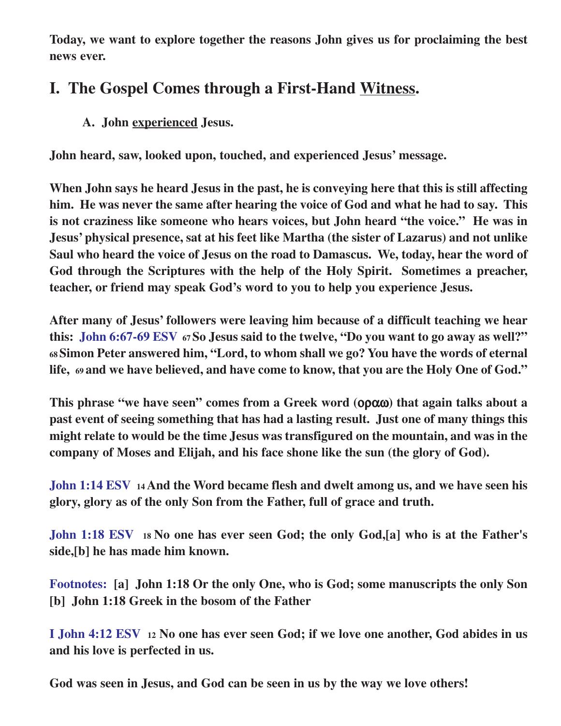**Today, we want to explore together the reasons John gives us for proclaiming the best news ever.**

## **I. The Gospel Comes through a First-Hand Witness.**

**A. John experienced Jesus.**

**John heard, saw, looked upon, touched, and experienced Jesus' message.**

**When John says he heard Jesus in the past, he is conveying here that this is still affecting him. He was never the same after hearing the voice of God and what he had to say. This is not craziness like someone who hears voices, but John heard "the voice." He was in Jesus' physical presence, sat at his feet like Martha (the sister of Lazarus) and not unlike Saul who heard the voice of Jesus on the road to Damascus. We, today, hear the word of God through the Scriptures with the help of the Holy Spirit. Sometimes a preacher, teacher, or friend may speak God's word to you to help you experience Jesus.**

**After many of Jesus' followers were leaving him because of a difficult teaching we hear this: John 6:67-69 ESV 67 So Jesus said to the twelve, "Do you want to go away as well?" <sup>68</sup>Simon Peter answered him, "Lord, to whom shall we go? You have the words of eternal life, 69 and we have believed, and have come to know, that you are the Holy One of God."**

**This phrase "we have seen" comes from a Greek word (**οραω**) that again talks about a past event of seeing something that has had a lasting result. Just one of many things this might relate to would be the time Jesus was transfigured on the mountain, and was in the company of Moses and Elijah, and his face shone like the sun (the glory of God).**

**John 1:14 ESV <sup>14</sup>And the Word became flesh and dwelt among us, and we have seen his glory, glory as of the only Son from the Father, full of grace and truth.**

**John 1:18 ESV 18 No one has ever seen God; the only God,[a] who is at the Father's side,[b] he has made him known.**

**Footnotes: [a] John 1:18 Or the only One, who is God; some manuscripts the only Son [b] John 1:18 Greek in the bosom of the Father**

**I John 4:12 ESV <sup>12</sup> No one has ever seen God; if we love one another, God abides in us and his love is perfected in us.**

**God was seen in Jesus, and God can be seen in us by the way we love others!**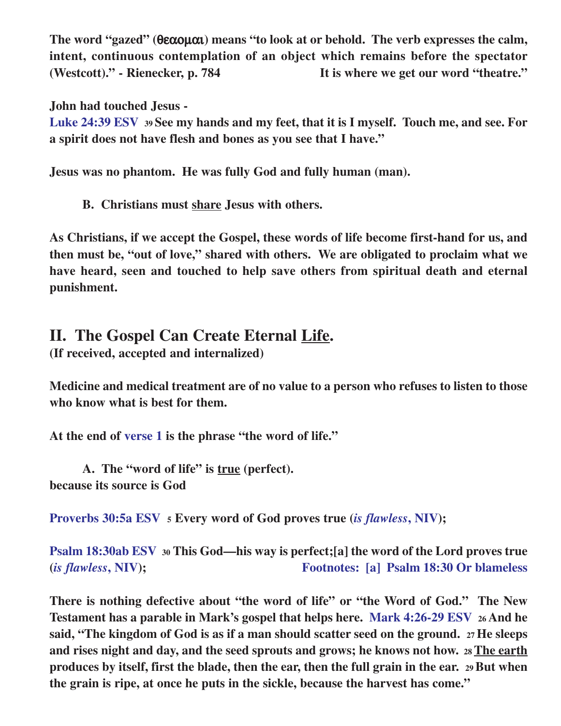**The word "gazed" (**θεαοµαι**) means "to look at or behold. The verb expresses the calm, intent, continuous contemplation of an object which remains before the spectator (Westcott)." - Rienecker, p. 784 It is where we get our word "theatre."**

**John had touched Jesus -**

**Luke 24:39 ESV <sup>39</sup>See my hands and my feet, that it is I myself. Touch me, and see. For a spirit does not have flesh and bones as you see that I have."**

**Jesus was no phantom. He was fully God and fully human (man).**

**B. Christians must share Jesus with others.**

**As Christians, if we accept the Gospel, these words of life become first-hand for us, and then must be, "out of love," shared with others. We are obligated to proclaim what we have heard, seen and touched to help save others from spiritual death and eternal punishment.**

## **II. The Gospel Can Create Eternal Life.**

**(If received, accepted and internalized)**

**Medicine and medical treatment are of no value to a person who refuses to listen to those who know what is best for them.**

**At the end of verse 1 is the phrase "the word of life."**

**A. The "word of life" is true (perfect). because its source is God**

**Proverbs 30:5a ESV <sup>5</sup> Every word of God proves true (***is flawless***, NIV);**

**Psalm 18:30ab ESV <sup>30</sup> This God—his way is perfect;[a] the word of the Lord proves true (***is flawless***, NIV); Footnotes: [a] Psalm 18:30 Or blameless**

**There is nothing defective about "the word of life" or "the Word of God." The New Testament has a parable in Mark's gospel that helps here. Mark 4:26-29 ESV 26 And he said, "The kingdom of God is as if a man should scatter seed on the ground. 27 He sleeps and rises night and day, and the seed sprouts and grows; he knows not how. 28 The earth produces by itself, first the blade, then the ear, then the full grain in the ear. 29 But when the grain is ripe, at once he puts in the sickle, because the harvest has come."**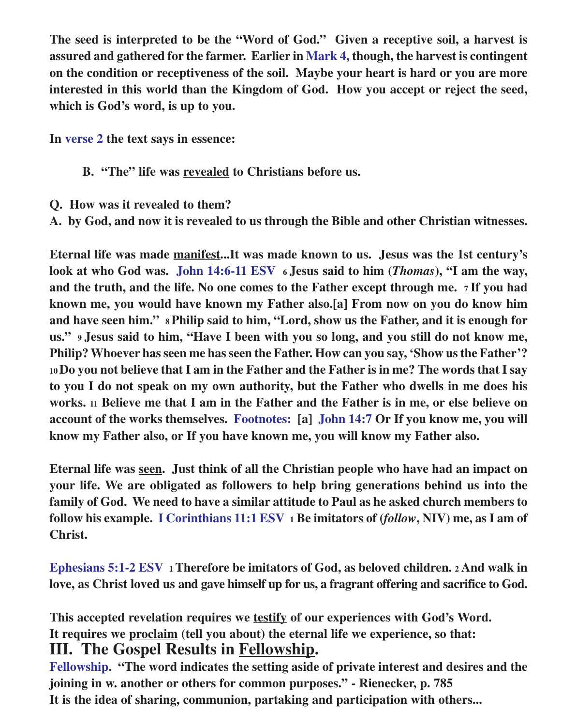**The seed is interpreted to be the "Word of God." Given a receptive soil, a harvest is assured and gathered for the farmer. Earlier in Mark 4, though, the harvest is contingent on the condition or receptiveness of the soil. Maybe your heart is hard or you are more interested in this world than the Kingdom of God. How you accept or reject the seed, which is God's word, is up to you.**

**In verse 2 the text says in essence:**

- **B. "The" life was revealed to Christians before us.**
- **Q. How was it revealed to them?**
- **A. by God, and now it is revealed to us through the Bible and other Christian witnesses.**

**Eternal life was made manifest...It was made known to us. Jesus was the 1st century's look at who God was. John 14:6-11 ESV 6 Jesus said to him (***Thomas***), "I am the way, and the truth, and the life. No one comes to the Father except through me. 7 If you had known me, you would have known my Father also.[a] From now on you do know him and have seen him." 8 Philip said to him, "Lord, show us the Father, and it is enough for us." 9 Jesus said to him, "Have I been with you so long, and you still do not know me, Philip? Whoever has seen me has seen the Father. How can you say, 'Show us the Father'? <sup>10</sup>Do you not believe that I am in the Father and the Father is in me? The words that I say to you I do not speak on my own authority, but the Father who dwells in me does his works. 11 Believe me that I am in the Father and the Father is in me, or else believe on account of the works themselves. Footnotes: [a] John 14:7 Or If you know me, you will know my Father also, or If you have known me, you will know my Father also.**

**Eternal life was seen. Just think of all the Christian people who have had an impact on your life. We are obligated as followers to help bring generations behind us into the family of God. We need to have a similar attitude to Paul as he asked church members to follow his example. I Corinthians 11:1 ESV 1 Be imitators of (***follow***, NIV) me, as I am of Christ.**

**Ephesians 5:1-2 ESV 1 Therefore be imitators of God, as beloved children. <sup>2</sup> And walk in love, as Christ loved us and gave himself up for us, a fragrant offering and sacrifice to God.**

**This accepted revelation requires we testify of our experiences with God's Word. It requires we proclaim (tell you about) the eternal life we experience, so that: III. The Gospel Results in Fellowship.**

**Fellowship. "The word indicates the setting aside of private interest and desires and the joining in w. another or others for common purposes." - Rienecker, p. 785 It is the idea of sharing, communion, partaking and participation with others...**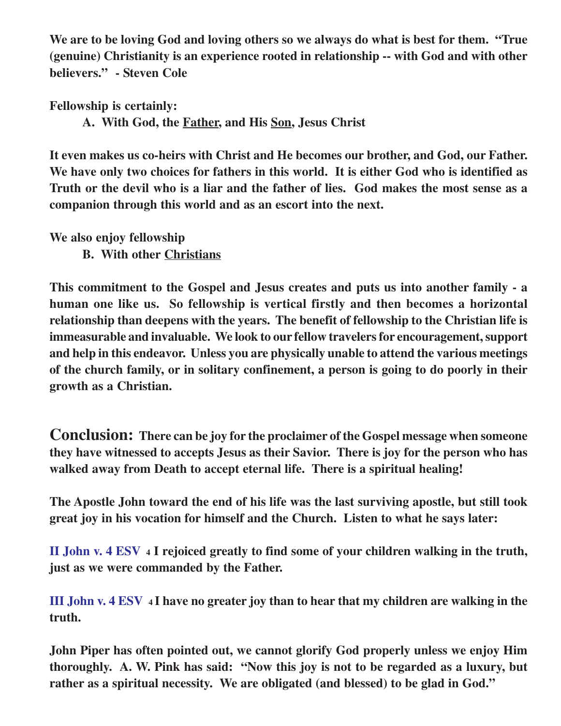**We are to be loving God and loving others so we always do what is best for them. "True (genuine) Christianity is an experience rooted in relationship -- with God and with other believers." - Steven Cole**

**Fellowship is certainly:**

**A. With God, the Father, and His Son, Jesus Christ**

**It even makes us co-heirs with Christ and He becomes our brother, and God, our Father. We have only two choices for fathers in this world. It is either God who is identified as Truth or the devil who is a liar and the father of lies. God makes the most sense as a companion through this world and as an escort into the next.**

**We also enjoy fellowship**

**B. With other Christians**

**This commitment to the Gospel and Jesus creates and puts us into another family - a human one like us. So fellowship is vertical firstly and then becomes a horizontal relationship than deepens with the years. The benefit of fellowship to the Christian life is immeasurable and invaluable. We look to our fellow travelers for encouragement, support and help in this endeavor. Unless you are physically unable to attend the various meetings of the church family, or in solitary confinement, a person is going to do poorly in their growth as a Christian.**

**Conclusion: There can be joy for the proclaimer of the Gospel message when someone they have witnessed to accepts Jesus as their Savior. There is joy for the person who has walked away from Death to accept eternal life. There is a spiritual healing!**

**The Apostle John toward the end of his life was the last surviving apostle, but still took great joy in his vocation for himself and the Church. Listen to what he says later:**

**II John v. 4 ESV 4 I rejoiced greatly to find some of your children walking in the truth, just as we were commanded by the Father.**

**III John v. 4 ESV 4 I have no greater joy than to hear that my children are walking in the truth.**

**John Piper has often pointed out, we cannot glorify God properly unless we enjoy Him thoroughly. A. W. Pink has said: "Now this joy is not to be regarded as a luxury, but rather as a spiritual necessity. We are obligated (and blessed) to be glad in God."**